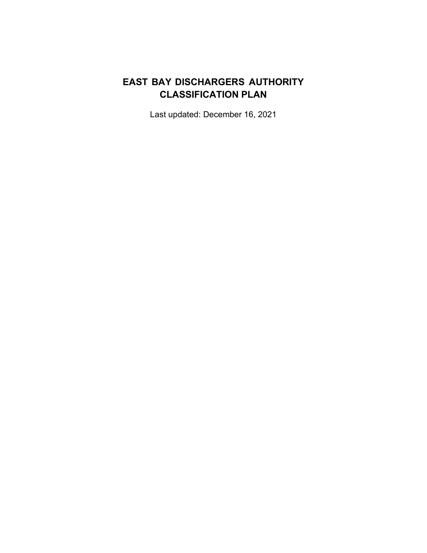# **EAST BAY DISCHARGERS AUTHORITY CLASSIFICATION PLAN**

Last updated: December 16, 2021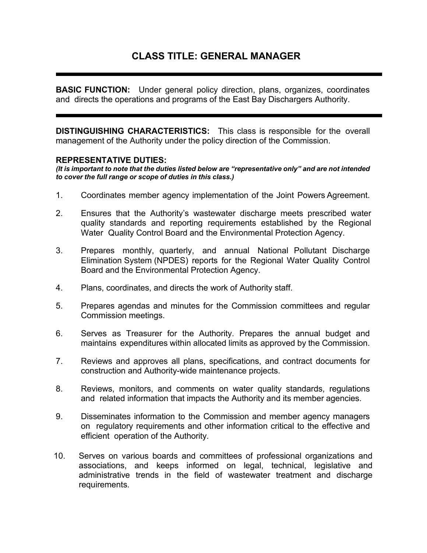## **CLASS TITLE: GENERAL MANAGER**

**BASIC FUNCTION:** Under general policy direction, plans, organizes, coordinates and directs the operations and programs of the East Bay Dischargers Authority.

**DISTINGUISHING CHARACTERISTICS:** This class is responsible for the overall management of the Authority under the policy direction of the Commission.

#### **REPRESENTATIVE DUTIES:**

*(It is important to note that the duties listed below are "representative only" and are not intended to cover the full range or scope of duties in this class.)*

- 1. Coordinates member agency implementation of the Joint Powers Agreement.
- 2. Ensures that the Authority's wastewater discharge meets prescribed water quality standards and reporting requirements established by the Regional Water Quality Control Board and the Environmental Protection Agency.
- 3. Prepares monthly, quarterly, and annual National Pollutant Discharge Elimination System (NPDES) reports for the Regional Water Quality Control Board and the Environmental Protection Agency.
- 4. Plans, coordinates, and directs the work of Authority staff.
- 5. Prepares agendas and minutes for the Commission committees and regular Commission meetings.
- 6. Serves as Treasurer for the Authority. Prepares the annual budget and maintains expenditures within allocated limits as approved by the Commission.
- 7. Reviews and approves all plans, specifications, and contract documents for construction and Authority-wide maintenance projects.
- 8. Reviews, monitors, and comments on water quality standards, regulations and related information that impacts the Authority and its member agencies.
- 9. Disseminates information to the Commission and member agency managers on regulatory requirements and other information critical to the effective and efficient operation of the Authority.
- 10. Serves on various boards and committees of professional organizations and associations, and keeps informed on legal, technical, legislative and administrative trends in the field of wastewater treatment and discharge requirements.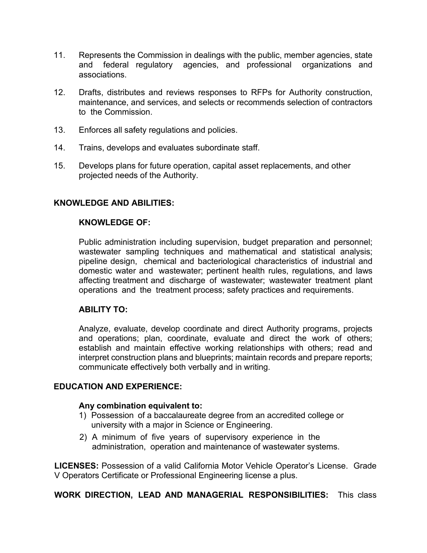- 11. Represents the Commission in dealings with the public, member agencies, state and federal regulatory agencies, and professional organizations and associations.
- 12. Drafts, distributes and reviews responses to RFPs for Authority construction, maintenance, and services, and selects or recommends selection of contractors to the Commission.
- 13. Enforces all safety regulations and policies.
- 14. Trains, develops and evaluates subordinate staff.
- 15. Develops plans for future operation, capital asset replacements, and other projected needs of the Authority.

### **KNOWLEDGE OF:**

Public administration including supervision, budget preparation and personnel; wastewater sampling techniques and mathematical and statistical analysis; pipeline design, chemical and bacteriological characteristics of industrial and domestic water and wastewater; pertinent health rules, regulations, and laws affecting treatment and discharge of wastewater; wastewater treatment plant operations and the treatment process; safety practices and requirements.

## **ABILITY TO:**

Analyze, evaluate, develop coordinate and direct Authority programs, projects and operations; plan, coordinate, evaluate and direct the work of others; establish and maintain effective working relationships with others; read and interpret construction plans and blueprints; maintain records and prepare reports; communicate effectively both verbally and in writing.

#### **EDUCATION AND EXPERIENCE:**

#### **Any combination equivalent to:**

- 1) Possession of a baccalaureate degree from an accredited college or university with a major in Science or Engineering.
- 2) A minimum of five years of supervisory experience in the administration, operation and maintenance of wastewater systems.

**LICENSES:** Possession of a valid California Motor Vehicle Operator's License. Grade V Operators Certificate or Professional Engineering license a plus.

**WORK DIRECTION, LEAD AND MANAGERIAL RESPONSIBILITIES:** This class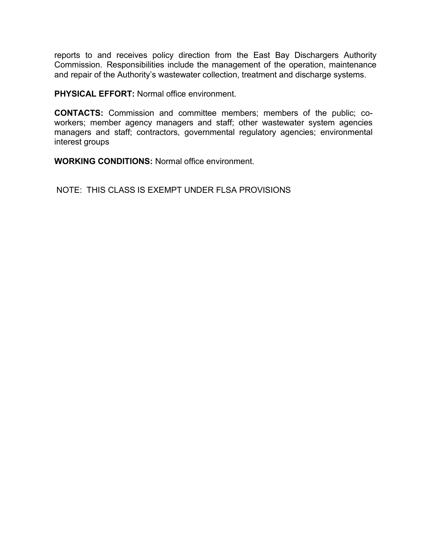reports to and receives policy direction from the East Bay Dischargers Authority Commission. Responsibilities include the management of the operation, maintenance and repair of the Authority's wastewater collection, treatment and discharge systems.

**PHYSICAL EFFORT:** Normal office environment.

**CONTACTS:** Commission and committee members; members of the public; coworkers; member agency managers and staff; other wastewater system agencies managers and staff; contractors, governmental regulatory agencies; environmental interest groups

**WORKING CONDITIONS:** Normal office environment.

NOTE: THIS CLASS IS EXEMPT UNDER FLSA PROVISIONS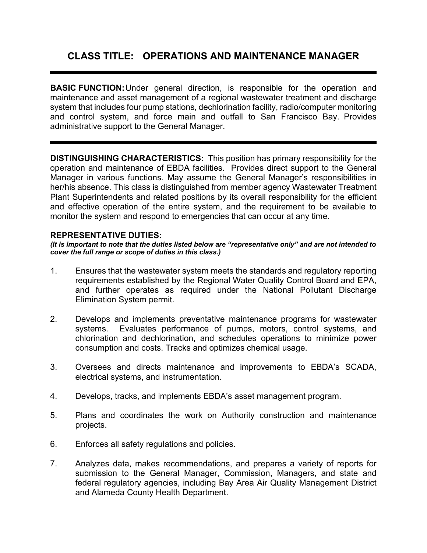# **CLASS TITLE: OPERATIONS AND MAINTENANCE MANAGER**

**BASIC FUNCTION:**Under general direction, is responsible for the operation and maintenance and asset management of a regional wastewater treatment and discharge system that includes four pump stations, dechlorination facility, radio/computer monitoring and control system, and force main and outfall to San Francisco Bay. Provides administrative support to the General Manager.

**DISTINGUISHING CHARACTERISTICS:** This position has primary responsibility for the operation and maintenance of EBDA facilities. Provides direct support to the General Manager in various functions. May assume the General Manager's responsibilities in her/his absence. This class is distinguished from member agency Wastewater Treatment Plant Superintendents and related positions by its overall responsibility for the efficient and effective operation of the entire system, and the requirement to be available to monitor the system and respond to emergencies that can occur at any time.

### **REPRESENTATIVE DUTIES:**

*(It is important to note that the duties listed below are "representative only" and are not intended to cover the full range or scope of duties in this class.)*

- 1. Ensures that the wastewater system meets the standards and regulatory reporting requirements established by the Regional Water Quality Control Board and EPA, and further operates as required under the National Pollutant Discharge Elimination System permit.
- 2. Develops and implements preventative maintenance programs for wastewater systems. Evaluates performance of pumps, motors, control systems, and chlorination and dechlorination, and schedules operations to minimize power consumption and costs. Tracks and optimizes chemical usage.
- 3. Oversees and directs maintenance and improvements to EBDA's SCADA, electrical systems, and instrumentation.
- 4. Develops, tracks, and implements EBDA's asset management program.
- 5. Plans and coordinates the work on Authority construction and maintenance projects.
- 6. Enforces all safety regulations and policies.
- 7. Analyzes data, makes recommendations, and prepares a variety of reports for submission to the General Manager, Commission, Managers, and state and federal regulatory agencies, including Bay Area Air Quality Management District and Alameda County Health Department.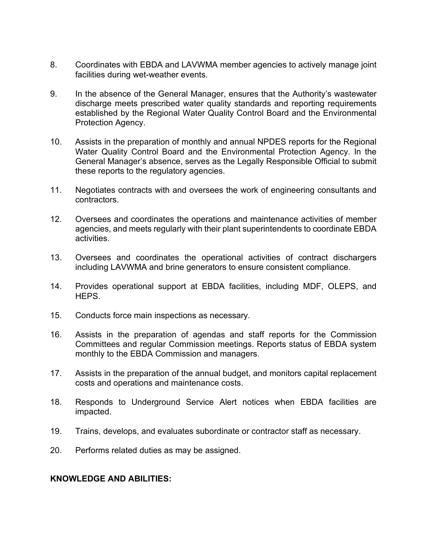- 8. Coordinates with EBDA and LAVWMA member agencies to actively manage joint facilities during wet-weather events.
- 9. In the absence of the General Manager, ensures that the Authority's wastewater discharge meets prescribed water quality standards and reporting requirements established by the Regional Water Quality Control Board and the Environmental Protection Agency.
- 10. Assists in the preparation of monthly and annual NPDES reports for the Regional Water Quality Control Board and the Environmental Protection Agency. In the General Manager's absence, serves as the Legally Responsible Official to submit these reports to the regulatory agencies.
- 11. Negotiates contracts with and oversees the work of engineering consultants and contractors.
- 12. Oversees and coordinates the operations and maintenance activities of member agencies, and meets regularly with their plant superintendents to coordinate EBDA activities.
- 13. Oversees and coordinates the operational activities of contract dischargers including LAVWMA and brine generators to ensure consistent compliance.
- 14. Provides operational support at EBDA facilities, including MDF, OLEPS, and HEPS.
- 15. Conducts force main inspections as necessary.
- 16. Assists in the preparation of agendas and staff reports for the Commission Committees and regular Commission meetings. Reports status of EBDA system monthly to the EBDA Commission and managers.
- 17. Assists in the preparation of the annual budget, and monitors capital replacement costs and operations and maintenance costs.
- 18. Responds to Underground Service Alert notices when EBDA facilities are impacted.
- 19. Trains, develops, and evaluates subordinate or contractor staff as necessary.
- 20. Performs related duties as may be assigned.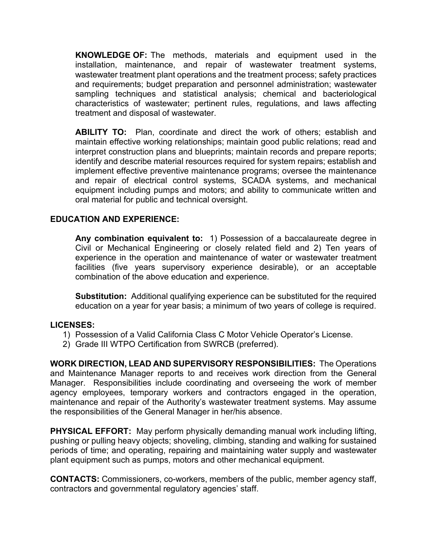**KNOWLEDGE OF:** The methods, materials and equipment used in the installation, maintenance, and repair of wastewater treatment systems, wastewater treatment plant operations and the treatment process; safety practices and requirements; budget preparation and personnel administration; wastewater sampling techniques and statistical analysis; chemical and bacteriological characteristics of wastewater; pertinent rules, regulations, and laws affecting treatment and disposal of wastewater.

**ABILITY TO:** Plan, coordinate and direct the work of others; establish and maintain effective working relationships; maintain good public relations; read and interpret construction plans and blueprints; maintain records and prepare reports; identify and describe material resources required for system repairs; establish and implement effective preventive maintenance programs; oversee the maintenance and repair of electrical control systems, SCADA systems, and mechanical equipment including pumps and motors; and ability to communicate written and oral material for public and technical oversight.

## **EDUCATION AND EXPERIENCE:**

**Any combination equivalent to:** 1) Possession of a baccalaureate degree in Civil or Mechanical Engineering or closely related field and 2) Ten years of experience in the operation and maintenance of water or wastewater treatment facilities (five years supervisory experience desirable), or an acceptable combination of the above education and experience.

**Substitution:** Additional qualifying experience can be substituted for the required education on a year for year basis; a minimum of two years of college is required.

## **LICENSES:**

- 1) Possession of a Valid California Class C Motor Vehicle Operator's License.
- 2) Grade III WTPO Certification from SWRCB (preferred).

**WORK DIRECTION, LEAD AND SUPERVISORY RESPONSIBILITIES:** The Operations and Maintenance Manager reports to and receives work direction from the General Manager. Responsibilities include coordinating and overseeing the work of member agency employees, temporary workers and contractors engaged in the operation, maintenance and repair of the Authority's wastewater treatment systems. May assume the responsibilities of the General Manager in her/his absence.

**PHYSICAL EFFORT:** May perform physically demanding manual work including lifting, pushing or pulling heavy objects; shoveling, climbing, standing and walking for sustained periods of time; and operating, repairing and maintaining water supply and wastewater plant equipment such as pumps, motors and other mechanical equipment.

**CONTACTS:** Commissioners, co-workers, members of the public, member agency staff, contractors and governmental regulatory agencies' staff.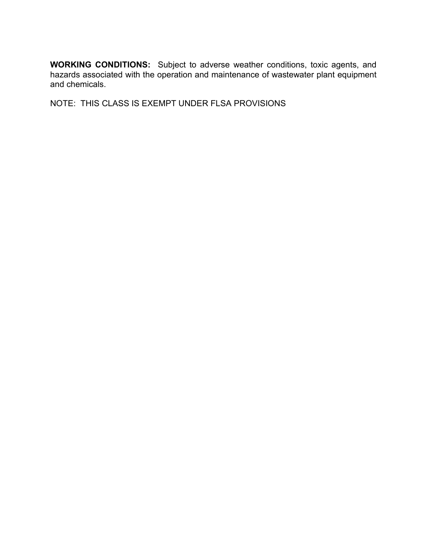**WORKING CONDITIONS:** Subject to adverse weather conditions, toxic agents, and hazards associated with the operation and maintenance of wastewater plant equipment and chemicals.

NOTE: THIS CLASS IS EXEMPT UNDER FLSA PROVISIONS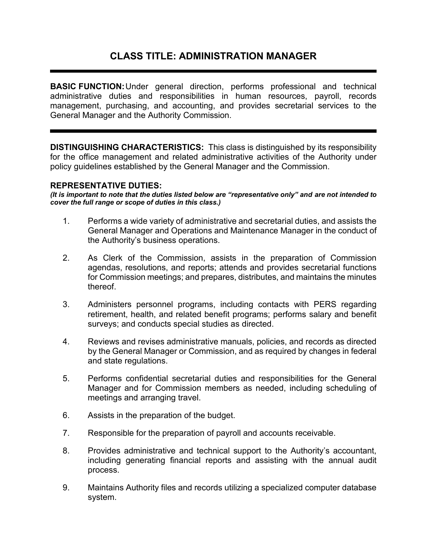## **CLASS TITLE: ADMINISTRATION MANAGER**

**BASIC FUNCTION:**Under general direction, performs professional and technical administrative duties and responsibilities in human resources, payroll, records management, purchasing, and accounting, and provides secretarial services to the General Manager and the Authority Commission.

**DISTINGUISHING CHARACTERISTICS:** This class is distinguished by its responsibility for the office management and related administrative activities of the Authority under policy guidelines established by the General Manager and the Commission.

#### **REPRESENTATIVE DUTIES:**

*(It is important to note that the duties listed below are "representative only" and are not intended to cover the full range or scope of duties in this class.)*

- 1. Performs a wide variety of administrative and secretarial duties, and assists the General Manager and Operations and Maintenance Manager in the conduct of the Authority's business operations.
- 2. As Clerk of the Commission, assists in the preparation of Commission agendas, resolutions, and reports; attends and provides secretarial functions for Commission meetings; and prepares, distributes, and maintains the minutes thereof.
- 3. Administers personnel programs, including contacts with PERS regarding retirement, health, and related benefit programs; performs salary and benefit surveys; and conducts special studies as directed.
- 4. Reviews and revises administrative manuals, policies, and records as directed by the General Manager or Commission, and as required by changes in federal and state regulations.
- 5. Performs confidential secretarial duties and responsibilities for the General Manager and for Commission members as needed, including scheduling of meetings and arranging travel.
- 6. Assists in the preparation of the budget.
- 7. Responsible for the preparation of payroll and accounts receivable.
- 8. Provides administrative and technical support to the Authority's accountant, including generating financial reports and assisting with the annual audit process.
- 9. Maintains Authority files and records utilizing a specialized computer database system.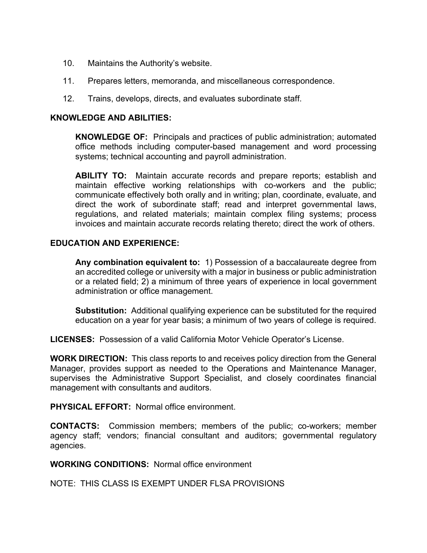- 10. Maintains the Authority's website.
- 11. Prepares letters, memoranda, and miscellaneous correspondence.
- 12. Trains, develops, directs, and evaluates subordinate staff.

**KNOWLEDGE OF:** Principals and practices of public administration; automated office methods including computer-based management and word processing systems; technical accounting and payroll administration.

**ABILITY TO:** Maintain accurate records and prepare reports; establish and maintain effective working relationships with co-workers and the public; communicate effectively both orally and in writing; plan, coordinate, evaluate, and direct the work of subordinate staff; read and interpret governmental laws, regulations, and related materials; maintain complex filing systems; process invoices and maintain accurate records relating thereto; direct the work of others.

## **EDUCATION AND EXPERIENCE:**

**Any combination equivalent to:** 1) Possession of a baccalaureate degree from an accredited college or university with a major in business or public administration or a related field; 2) a minimum of three years of experience in local government administration or office management.

**Substitution:** Additional qualifying experience can be substituted for the required education on a year for year basis; a minimum of two years of college is required.

**LICENSES:** Possession of a valid California Motor Vehicle Operator's License.

**WORK DIRECTION:** This class reports to and receives policy direction from the General Manager, provides support as needed to the Operations and Maintenance Manager, supervises the Administrative Support Specialist, and closely coordinates financial management with consultants and auditors.

**PHYSICAL EFFORT:** Normal office environment.

**CONTACTS:** Commission members; members of the public; co-workers; member agency staff; vendors; financial consultant and auditors; governmental regulatory agencies.

**WORKING CONDITIONS:** Normal office environment

NOTE: THIS CLASS IS EXEMPT UNDER FLSA PROVISIONS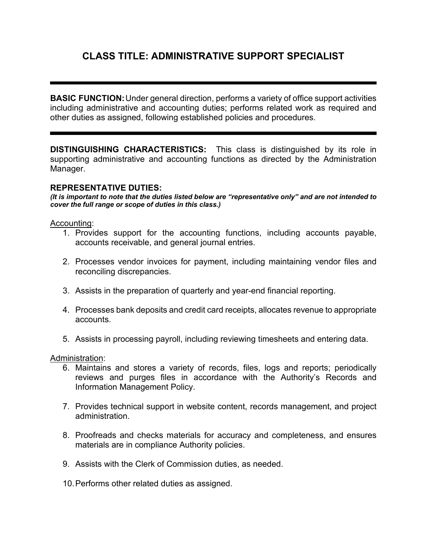# **CLASS TITLE: ADMINISTRATIVE SUPPORT SPECIALIST**

**BASIC FUNCTION:**Under general direction, performs a variety of office support activities including administrative and accounting duties; performs related work as required and other duties as assigned, following established policies and procedures.

**DISTINGUISHING CHARACTERISTICS:** This class is distinguished by its role in supporting administrative and accounting functions as directed by the Administration Manager.

#### **REPRESENTATIVE DUTIES:**

*(It is important to note that the duties listed below are "representative only" and are not intended to cover the full range or scope of duties in this class.)*

#### Accounting:

- 1. Provides support for the accounting functions, including accounts payable, accounts receivable, and general journal entries.
- 2. Processes vendor invoices for payment, including maintaining vendor files and reconciling discrepancies.
- 3. Assists in the preparation of quarterly and year-end financial reporting.
- 4. Processes bank deposits and credit card receipts, allocates revenue to appropriate accounts.
- 5. Assists in processing payroll, including reviewing timesheets and entering data.

#### Administration:

- 6. Maintains and stores a variety of records, files, logs and reports; periodically reviews and purges files in accordance with the Authority's Records and Information Management Policy.
- 7. Provides technical support in website content, records management, and project administration.
- 8. Proofreads and checks materials for accuracy and completeness, and ensures materials are in compliance Authority policies.
- 9. Assists with the Clerk of Commission duties, as needed.
- 10.Performs other related duties as assigned.